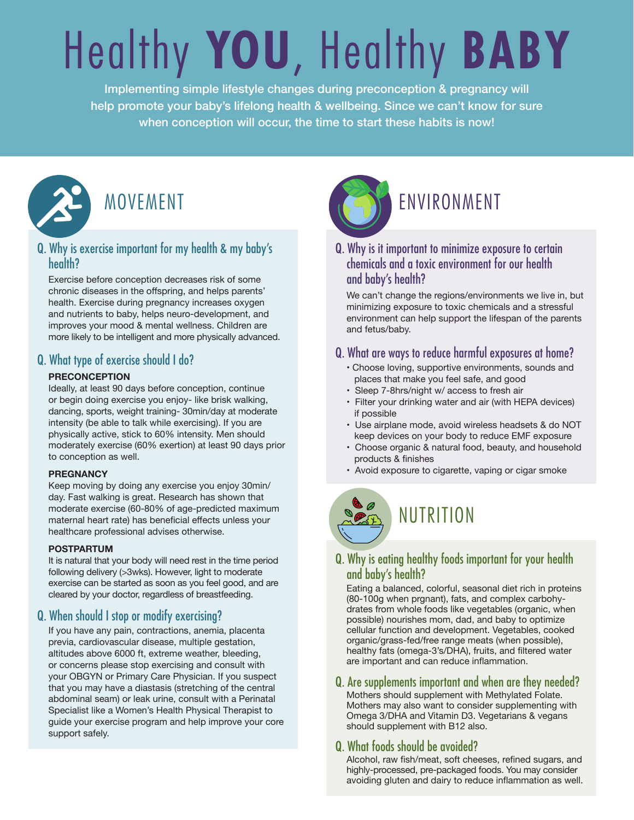# Healthy **YOU**, Healthy **BABY**

Implementing simple lifestyle changes during preconception & pregnancy will help promote your baby's lifelong health & wellbeing. Since we can't know for sure when conception will occur, the time to start these habits is now!



#### Q. Why is exercise important for my health & my baby's health?

Exercise before conception decreases risk of some chronic diseases in the offspring, and helps parents' health. Exercise during pregnancy increases oxygen and nutrients to baby, helps neuro-development, and improves your mood & mental wellness. Children are more likely to be intelligent and more physically advanced.

### Q. What type of exercise should I do?

#### **PRECONCEPTION**

Ideally, at least 90 days before conception, continue or begin doing exercise you enjoy- like brisk walking, dancing, sports, weight training- 30min/day at moderate intensity (be able to talk while exercising). If you are physically active, stick to 60% intensity. Men should moderately exercise (60% exertion) at least 90 days prior to conception as well.

#### **PREGNANCY**

Keep moving by doing any exercise you enjoy 30min/ day. Fast walking is great. Research has shown that moderate exercise (60-80% of age-predicted maximum maternal heart rate) has beneficial effects unless your healthcare professional advises otherwise.

#### **POSTPARTUM**

It is natural that your body will need rest in the time period following delivery (>3wks). However, light to moderate exercise can be started as soon as you feel good, and are cleared by your doctor, regardless of breastfeeding.

#### Q. When should I stop or modify exercising?

If you have any pain, contractions, anemia, placenta previa, cardiovascular disease, multiple gestation, altitudes above 6000 ft, extreme weather, bleeding, or concerns please stop exercising and consult with your OBGYN or Primary Care Physician. If you suspect that you may have a diastasis (stretching of the central abdominal seam) or leak urine, consult with a Perinatal Specialist like a Women's Health Physical Therapist to guide your exercise program and help improve your core support safely.



## MOVEMENT MOVEMENT

Q. Why is it important to minimize exposure to certain chemicals and a toxic environment for our health and baby's health?

We can't change the regions/environments we live in, but minimizing exposure to toxic chemicals and a stressful environment can help support the lifespan of the parents and fetus/baby.

#### Q. What are ways to reduce harmful exposures at home?

- Choose loving, supportive environments, sounds and places that make you feel safe, and good
- Sleep 7-8hrs/night w/ access to fresh air
- Filter your drinking water and air (with HEPA devices) if possible
- Use airplane mode, avoid wireless headsets & do NOT keep devices on your body to reduce EMF exposure
- Choose organic & natural food, beauty, and household products & finishes
- Avoid exposure to cigarette, vaping or cigar smoke

NUTRITION

#### Q. Why is eating healthy foods important for your health and baby's health?

Eating a balanced, colorful, seasonal diet rich in proteins (80-100g when prgnant), fats, and complex carbohydrates from whole foods like vegetables (organic, when possible) nourishes mom, dad, and baby to optimize cellular function and development. Vegetables, cooked organic/grass-fed/free range meats (when possible), healthy fats (omega-3's/DHA), fruits, and filtered water are important and can reduce inflammation.

#### Q. Are supplements important and when are they needed?

Mothers should supplement with Methylated Folate. Mothers may also want to consider supplementing with Omega 3/DHA and Vitamin D3. Vegetarians & vegans should supplement with B12 also.

#### Q. What foods should be avoided?

Alcohol, raw fish/meat, soft cheeses, refined sugars, and highly-processed, pre-packaged foods. You may consider avoiding gluten and dairy to reduce inflammation as well.